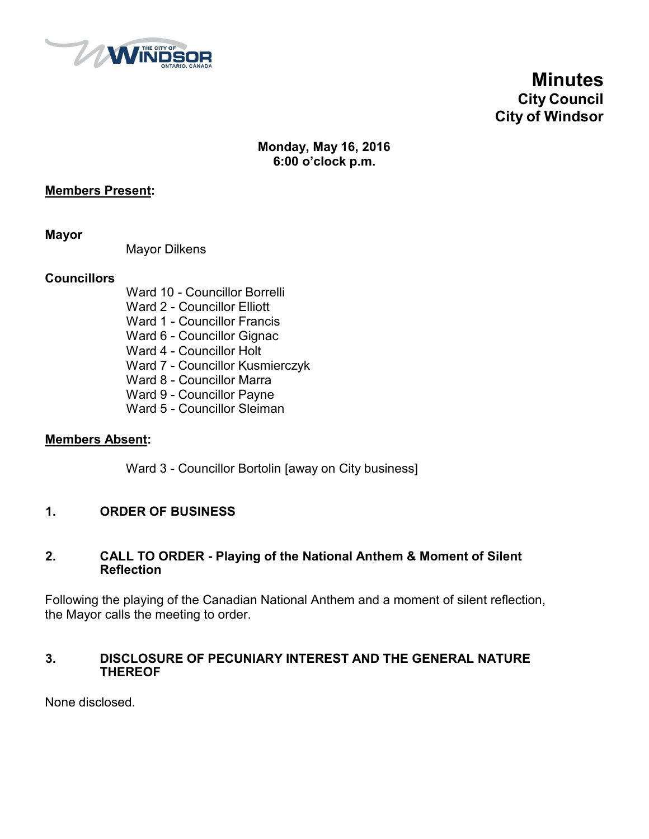

**Minutes City Council City of Windsor**

# **Monday, May 16, 2016 6:00 o'clock p.m.**

#### **Members Present:**

**Mayor**

Mayor Dilkens

## **Councillors**

Ward 10 - Councillor Borrelli Ward 2 - Councillor Elliott Ward 1 - Councillor Francis Ward 6 - Councillor Gignac Ward 4 - Councillor Holt Ward 7 - Councillor Kusmierczyk Ward 8 - Councillor Marra Ward 9 - Councillor Payne Ward 5 - Councillor Sleiman

#### **Members Absent:**

Ward 3 - Councillor Bortolin [away on City business]

## **1. ORDER OF BUSINESS**

#### **2. CALL TO ORDER - Playing of the National Anthem & Moment of Silent Reflection**

Following the playing of the Canadian National Anthem and a moment of silent reflection, the Mayor calls the meeting to order.

## **3. DISCLOSURE OF PECUNIARY INTEREST AND THE GENERAL NATURE THEREOF**

None disclosed.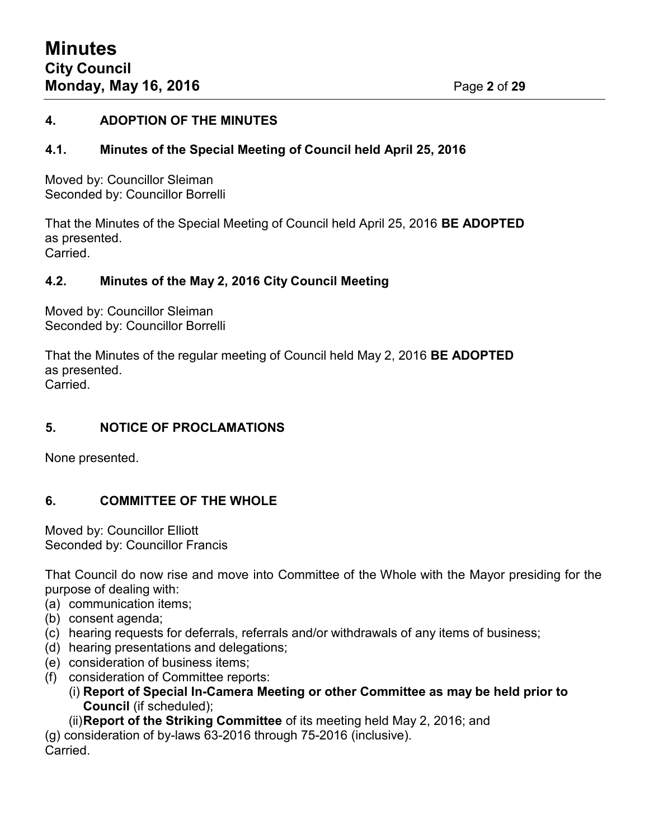## **4. ADOPTION OF THE MINUTES**

## **4.1. Minutes of the Special Meeting of Council held April 25, 2016**

Moved by: Councillor Sleiman Seconded by: Councillor Borrelli

That the Minutes of the Special Meeting of Council held April 25, 2016 **BE ADOPTED** as presented. Carried.

## **4.2. Minutes of the May 2, 2016 City Council Meeting**

Moved by: Councillor Sleiman Seconded by: Councillor Borrelli

That the Minutes of the regular meeting of Council held May 2, 2016 **BE ADOPTED** as presented. Carried.

## **5. NOTICE OF PROCLAMATIONS**

None presented.

# **6. COMMITTEE OF THE WHOLE**

Moved by: Councillor Elliott Seconded by: Councillor Francis

That Council do now rise and move into Committee of the Whole with the Mayor presiding for the purpose of dealing with:

- (a) communication items;
- (b) consent agenda;
- (c) hearing requests for deferrals, referrals and/or withdrawals of any items of business;
- (d) hearing presentations and delegations;
- (e) consideration of business items;
- (f) consideration of Committee reports:
	- (i) **Report of Special In-Camera Meeting or other Committee as may be held prior to Council** (if scheduled);

(ii)**Report of the Striking Committee** of its meeting held May 2, 2016; and

(g) consideration of by-laws 63-2016 through 75-2016 (inclusive). Carried.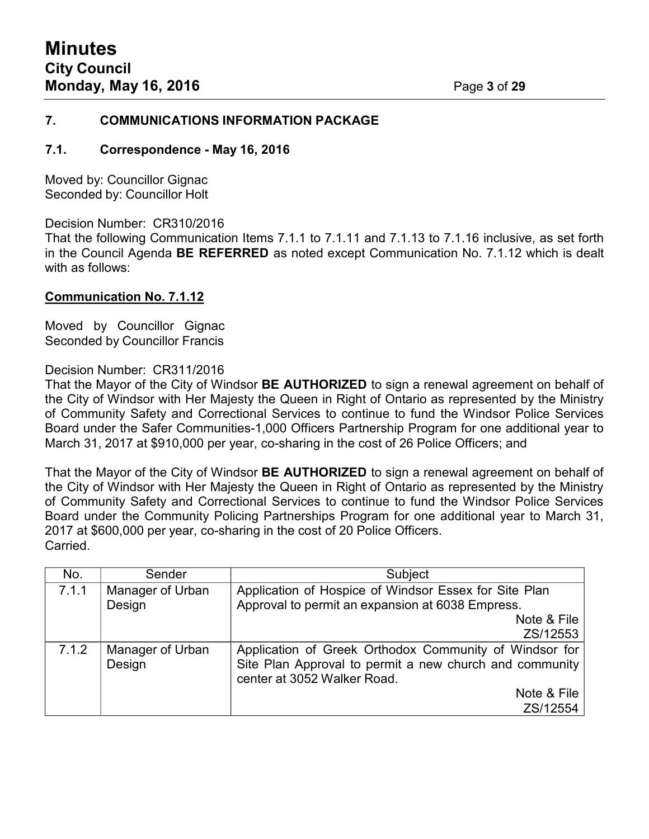#### **7. COMMUNICATIONS INFORMATION PACKAGE**

#### **7.1. Correspondence - May 16, 2016**

Moved by: Councillor Gignac Seconded by: Councillor Holt

Decision Number: CR310/2016

That the following Communication Items 7.1.1 to 7.1.11 and 7.1.13 to 7.1.16 inclusive, as set forth in the Council Agenda **BE REFERRED** as noted except Communication No. 7.1.12 which is dealt with as follows:

#### **Communication No. 7.1.12**

Moved by Councillor Gignac Seconded by Councillor Francis

#### Decision Number: CR311/2016

That the Mayor of the City of Windsor **BE AUTHORIZED** to sign a renewal agreement on behalf of the City of Windsor with Her Majesty the Queen in Right of Ontario as represented by the Ministry of Community Safety and Correctional Services to continue to fund the Windsor Police Services Board under the Safer Communities-1,000 Officers Partnership Program for one additional year to March 31, 2017 at \$910,000 per year, co-sharing in the cost of 26 Police Officers; and

That the Mayor of the City of Windsor **BE AUTHORIZED** to sign a renewal agreement on behalf of the City of Windsor with Her Majesty the Queen in Right of Ontario as represented by the Ministry of Community Safety and Correctional Services to continue to fund the Windsor Police Services Board under the Community Policing Partnerships Program for one additional year to March 31, 2017 at \$600,000 per year, co-sharing in the cost of 20 Police Officers. Carried.

| No.   | Sender                     | Subject                                                                                                                                          |  |
|-------|----------------------------|--------------------------------------------------------------------------------------------------------------------------------------------------|--|
| 7.1.1 | Manager of Urban<br>Design | Application of Hospice of Windsor Essex for Site Plan<br>Approval to permit an expansion at 6038 Empress.                                        |  |
|       |                            | Note & File                                                                                                                                      |  |
|       |                            | ZS/12553                                                                                                                                         |  |
| 7.1.2 | Manager of Urban<br>Design | Application of Greek Orthodox Community of Windsor for<br>Site Plan Approval to permit a new church and community<br>center at 3052 Walker Road. |  |
|       |                            | Note & File                                                                                                                                      |  |
|       |                            | ZS/12554                                                                                                                                         |  |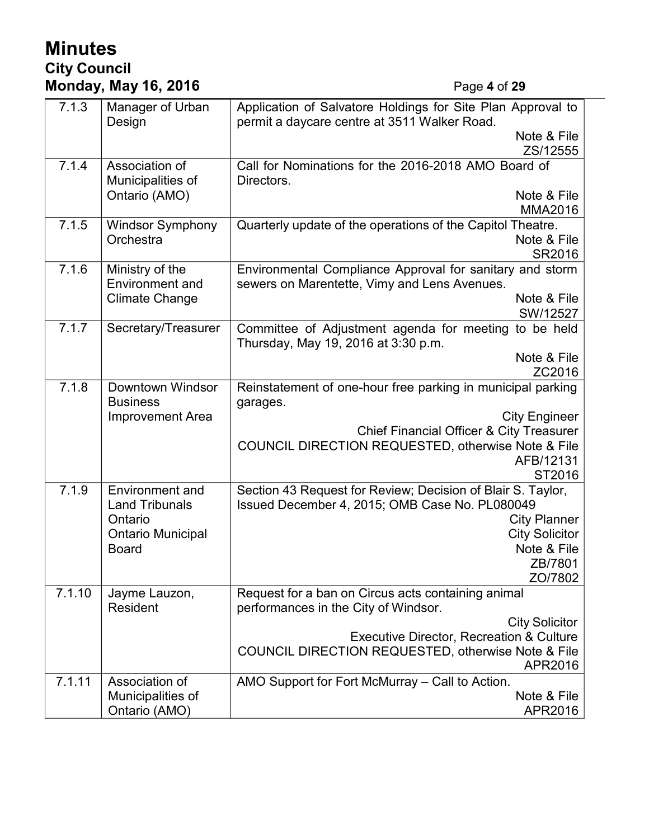# **Minutes City Council Monday, May 16, 2016** Page **4** of **29**

| 7.1.3                            | Manager of Urban<br>Design          | Application of Salvatore Holdings for Site Plan Approval to<br>permit a daycare centre at 3511 Walker Road. |  |
|----------------------------------|-------------------------------------|-------------------------------------------------------------------------------------------------------------|--|
|                                  |                                     | Note & File                                                                                                 |  |
|                                  |                                     | ZS/12555                                                                                                    |  |
| 7.1.4                            | Association of                      | Call for Nominations for the 2016-2018 AMO Board of                                                         |  |
|                                  | Municipalities of                   | Directors.                                                                                                  |  |
|                                  | Ontario (AMO)                       | Note & File                                                                                                 |  |
|                                  |                                     | <b>MMA2016</b>                                                                                              |  |
| 7.1.5<br><b>Windsor Symphony</b> |                                     | Quarterly update of the operations of the Capitol Theatre.                                                  |  |
|                                  | Orchestra                           | Note & File                                                                                                 |  |
|                                  |                                     | SR2016                                                                                                      |  |
| 7.1.6                            | Ministry of the                     | Environmental Compliance Approval for sanitary and storm                                                    |  |
|                                  | <b>Environment and</b>              | sewers on Marentette, Vimy and Lens Avenues.                                                                |  |
|                                  | <b>Climate Change</b>               | Note & File                                                                                                 |  |
| 7.1.7                            |                                     | SW/12527                                                                                                    |  |
|                                  | Secretary/Treasurer                 | Committee of Adjustment agenda for meeting to be held<br>Thursday, May 19, 2016 at 3:30 p.m.                |  |
|                                  |                                     | Note & File                                                                                                 |  |
|                                  |                                     | ZC2016                                                                                                      |  |
| 7.1.8                            | Downtown Windsor<br><b>Business</b> | Reinstatement of one-hour free parking in municipal parking<br>garages.                                     |  |
|                                  | <b>Improvement Area</b>             | <b>City Engineer</b>                                                                                        |  |
|                                  |                                     | <b>Chief Financial Officer &amp; City Treasurer</b>                                                         |  |
|                                  |                                     | COUNCIL DIRECTION REQUESTED, otherwise Note & File                                                          |  |
|                                  |                                     | AFB/12131                                                                                                   |  |
|                                  |                                     | ST2016                                                                                                      |  |
| 7.1.9                            | <b>Environment and</b>              | Section 43 Request for Review; Decision of Blair S. Taylor,                                                 |  |
|                                  | <b>Land Tribunals</b><br>Ontario    | Issued December 4, 2015; OMB Case No. PL080049                                                              |  |
|                                  | <b>Ontario Municipal</b>            | <b>City Planner</b><br><b>City Solicitor</b>                                                                |  |
|                                  | <b>Board</b>                        | Note & File                                                                                                 |  |
|                                  |                                     | ZB/7801                                                                                                     |  |
|                                  |                                     | ZO/7802                                                                                                     |  |
| 7.1.10                           | Jayme Lauzon,                       | Request for a ban on Circus acts containing animal                                                          |  |
|                                  | Resident                            | performances in the City of Windsor.                                                                        |  |
|                                  |                                     | <b>City Solicitor</b>                                                                                       |  |
|                                  |                                     | <b>Executive Director, Recreation &amp; Culture</b>                                                         |  |
|                                  |                                     | <b>COUNCIL DIRECTION REQUESTED, otherwise Note &amp; File</b>                                               |  |
|                                  |                                     | APR2016                                                                                                     |  |
| 7.1.11                           | Association of                      | AMO Support for Fort McMurray - Call to Action.                                                             |  |
|                                  | Municipalities of                   | Note & File                                                                                                 |  |
|                                  | Ontario (AMO)                       | APR2016                                                                                                     |  |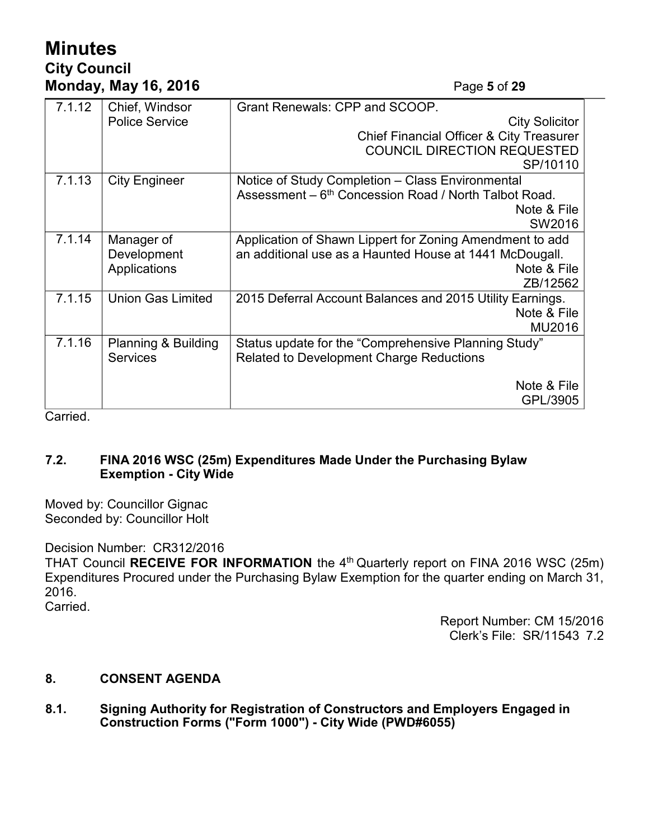# **Minutes City Council Monday, May 16, 2016** Page **5** of **29**

| 7.1.12 | Chief, Windsor              | Grant Renewals: CPP and SCOOP.                                               |  |
|--------|-----------------------------|------------------------------------------------------------------------------|--|
|        | <b>Police Service</b>       | <b>City Solicitor</b><br><b>Chief Financial Officer &amp; City Treasurer</b> |  |
|        |                             |                                                                              |  |
|        |                             | <b>COUNCIL DIRECTION REQUESTED</b>                                           |  |
|        |                             | SP/10110                                                                     |  |
| 7.1.13 | <b>City Engineer</b>        | Notice of Study Completion - Class Environmental                             |  |
|        |                             | Assessment - 6 <sup>th</sup> Concession Road / North Talbot Road.            |  |
|        |                             | Note & File                                                                  |  |
|        |                             | SW2016                                                                       |  |
| 7.1.14 | Manager of                  | Application of Shawn Lippert for Zoning Amendment to add                     |  |
|        | Development<br>Applications | an additional use as a Haunted House at 1441 McDougall.                      |  |
|        |                             | Note & File                                                                  |  |
|        |                             | ZB/12562                                                                     |  |
| 7.1.15 | <b>Union Gas Limited</b>    | 2015 Deferral Account Balances and 2015 Utility Earnings.                    |  |
|        |                             | Note & File                                                                  |  |
|        |                             | MU2016                                                                       |  |
| 7.1.16 | Planning & Building         | Status update for the "Comprehensive Planning Study"                         |  |
|        | <b>Services</b>             | <b>Related to Development Charge Reductions</b>                              |  |
|        |                             |                                                                              |  |
|        |                             | Note & File                                                                  |  |
|        |                             | GPL/3905                                                                     |  |

Carried.

## **7.2. FINA 2016 WSC (25m) Expenditures Made Under the Purchasing Bylaw Exemption - City Wide**

Moved by: Councillor Gignac Seconded by: Councillor Holt

Decision Number: CR312/2016 THAT Council RECEIVE FOR INFORMATION the 4<sup>th</sup> Quarterly report on FINA 2016 WSC (25m) Expenditures Procured under the Purchasing Bylaw Exemption for the quarter ending on March 31, 2016. Carried.

> Report Number: CM 15/2016 Clerk's File: SR/11543 7.2

## **8. CONSENT AGENDA**

**8.1. Signing Authority for Registration of Constructors and Employers Engaged in Construction Forms ("Form 1000") - City Wide (PWD#6055)**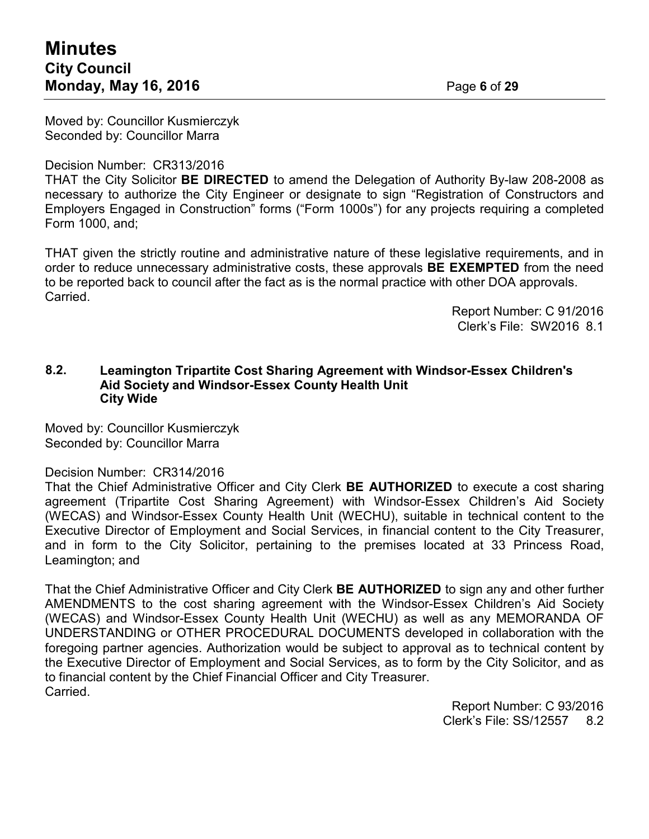Moved by: Councillor Kusmierczyk Seconded by: Councillor Marra

Decision Number: CR313/2016

THAT the City Solicitor **BE DIRECTED** to amend the Delegation of Authority By-law 208-2008 as necessary to authorize the City Engineer or designate to sign "Registration of Constructors and Employers Engaged in Construction" forms ("Form 1000s") for any projects requiring a completed Form 1000, and;

THAT given the strictly routine and administrative nature of these legislative requirements, and in order to reduce unnecessary administrative costs, these approvals **BE EXEMPTED** from the need to be reported back to council after the fact as is the normal practice with other DOA approvals. Carried.

> Report Number: C 91/2016 Clerk's File: SW2016 8.1

#### **8.2. Leamington Tripartite Cost Sharing Agreement with Windsor-Essex Children's Aid Society and Windsor-Essex County Health Unit City Wide**

Moved by: Councillor Kusmierczyk Seconded by: Councillor Marra

#### Decision Number: CR314/2016

That the Chief Administrative Officer and City Clerk **BE AUTHORIZED** to execute a cost sharing agreement (Tripartite Cost Sharing Agreement) with Windsor-Essex Children's Aid Society (WECAS) and Windsor-Essex County Health Unit (WECHU), suitable in technical content to the Executive Director of Employment and Social Services, in financial content to the City Treasurer, and in form to the City Solicitor, pertaining to the premises located at 33 Princess Road, Leamington; and

That the Chief Administrative Officer and City Clerk **BE AUTHORIZED** to sign any and other further AMENDMENTS to the cost sharing agreement with the Windsor-Essex Children's Aid Society (WECAS) and Windsor-Essex County Health Unit (WECHU) as well as any MEMORANDA OF UNDERSTANDING or OTHER PROCEDURAL DOCUMENTS developed in collaboration with the foregoing partner agencies. Authorization would be subject to approval as to technical content by the Executive Director of Employment and Social Services, as to form by the City Solicitor, and as to financial content by the Chief Financial Officer and City Treasurer. Carried.

> Report Number: C 93/2016 Clerk's File: SS/12557 8.2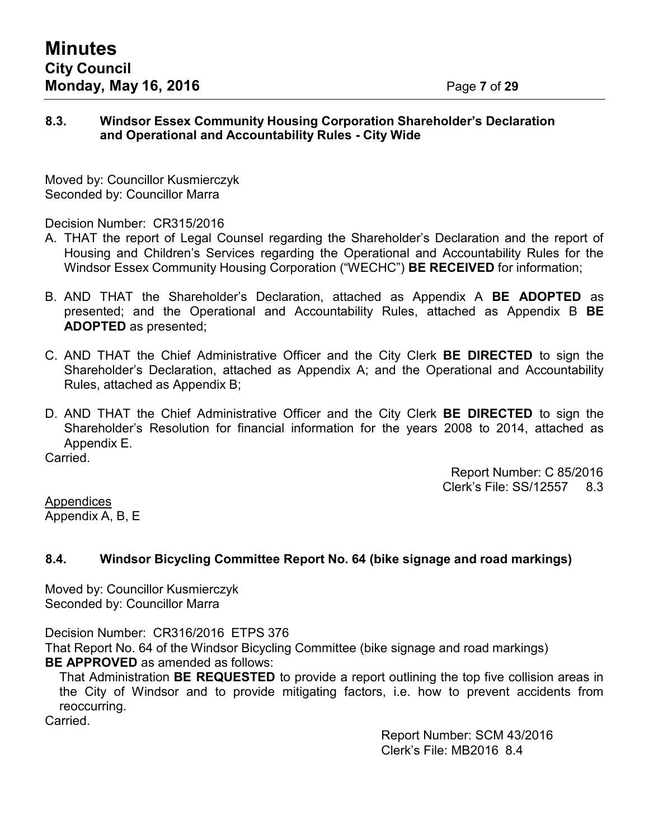## **8.3. Windsor Essex Community Housing Corporation Shareholder's Declaration and Operational and Accountability Rules - City Wide**

Moved by: Councillor Kusmierczyk Seconded by: Councillor Marra

Decision Number: CR315/2016

- A. THAT the report of Legal Counsel regarding the Shareholder's Declaration and the report of Housing and Children's Services regarding the Operational and Accountability Rules for the Windsor Essex Community Housing Corporation ("WECHC") **BE RECEIVED** for information;
- B. AND THAT the Shareholder's Declaration, attached as Appendix A **BE ADOPTED** as presented; and the Operational and Accountability Rules, attached as Appendix B **BE ADOPTED** as presented;
- C. AND THAT the Chief Administrative Officer and the City Clerk **BE DIRECTED** to sign the Shareholder's Declaration, attached as Appendix A; and the Operational and Accountability Rules, attached as Appendix B;
- D. AND THAT the Chief Administrative Officer and the City Clerk **BE DIRECTED** to sign the Shareholder's Resolution for financial information for the years 2008 to 2014, attached as Appendix E.

Carried.

Report Number: C 85/2016 Clerk's File: SS/12557 8.3

Appendices Appendix A, B, E

# **8.4. Windsor Bicycling Committee Report No. 64 (bike signage and road markings)**

Moved by: Councillor Kusmierczyk Seconded by: Councillor Marra

Decision Number: CR316/2016 ETPS 376

That Report No. 64 of the Windsor Bicycling Committee (bike signage and road markings) **BE APPROVED** as amended as follows:

That Administration **BE REQUESTED** to provide a report outlining the top five collision areas in the City of Windsor and to provide mitigating factors, i.e. how to prevent accidents from reoccurring.

Carried.

Report Number: SCM 43/2016 Clerk's File: MB2016 8.4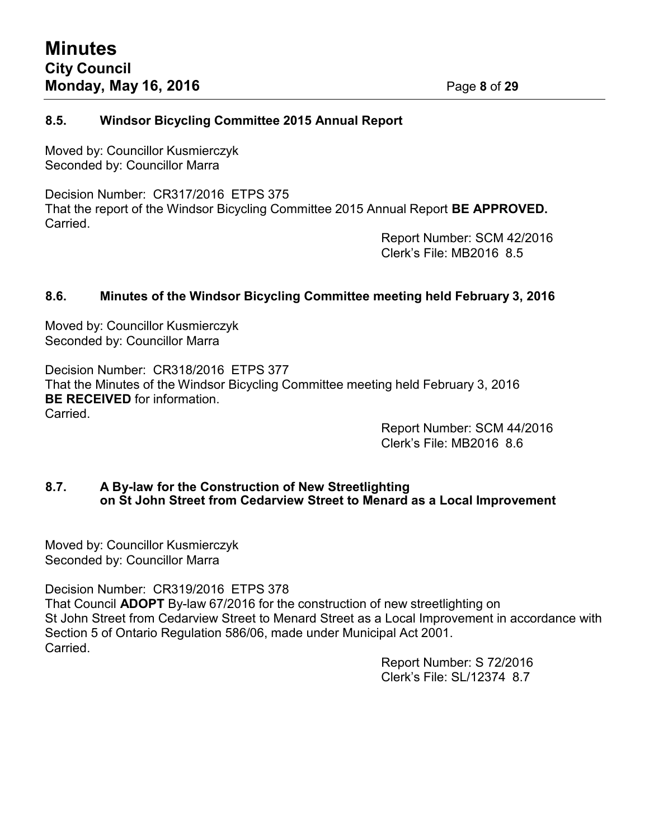## **8.5. Windsor Bicycling Committee 2015 Annual Report**

Moved by: Councillor Kusmierczyk Seconded by: Councillor Marra

Decision Number: CR317/2016 ETPS 375 That the report of the Windsor Bicycling Committee 2015 Annual Report **BE APPROVED.** Carried.

Report Number: SCM 42/2016 Clerk's File: MB2016 8.5

## **8.6. Minutes of the Windsor Bicycling Committee meeting held February 3, 2016**

Moved by: Councillor Kusmierczyk Seconded by: Councillor Marra

Decision Number: CR318/2016 ETPS 377 That the Minutes of the Windsor Bicycling Committee meeting held February 3, 2016 **BE RECEIVED** for information. Carried.

Report Number: SCM 44/2016 Clerk's File: MB2016 8.6

## **8.7. A By-law for the Construction of New Streetlighting on St John Street from Cedarview Street to Menard as a Local Improvement**

Moved by: Councillor Kusmierczyk Seconded by: Councillor Marra

Decision Number: CR319/2016 ETPS 378

That Council **ADOPT** By-law 67/2016 for the construction of new streetlighting on St John Street from Cedarview Street to Menard Street as a Local Improvement in accordance with Section 5 of Ontario Regulation 586/06, made under Municipal Act 2001. Carried.

> Report Number: S 72/2016 Clerk's File: SL/12374 8.7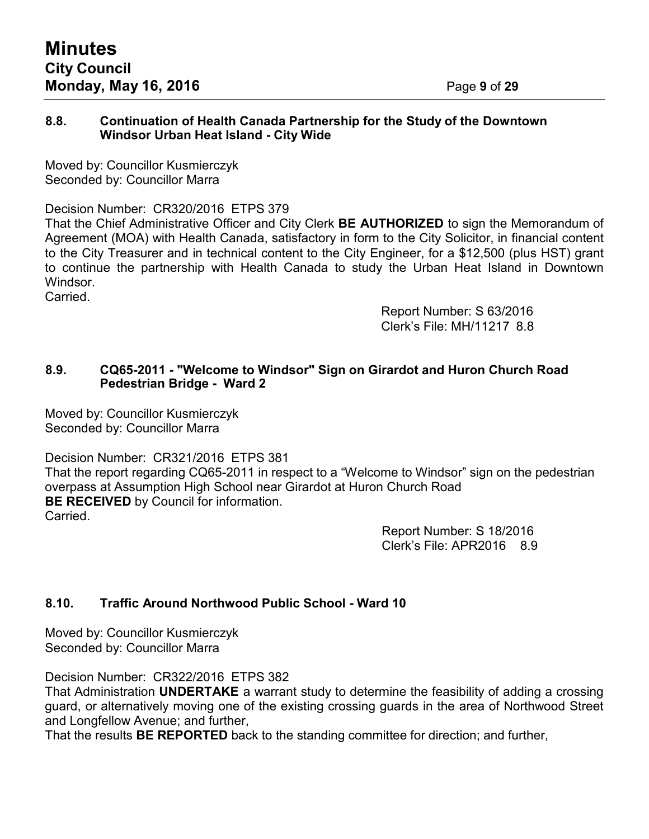## **8.8. Continuation of Health Canada Partnership for the Study of the Downtown Windsor Urban Heat Island - City Wide**

Moved by: Councillor Kusmierczyk Seconded by: Councillor Marra

Decision Number: CR320/2016 ETPS 379

That the Chief Administrative Officer and City Clerk **BE AUTHORIZED** to sign the Memorandum of Agreement (MOA) with Health Canada, satisfactory in form to the City Solicitor, in financial content to the City Treasurer and in technical content to the City Engineer, for a \$12,500 (plus HST) grant to continue the partnership with Health Canada to study the Urban Heat Island in Downtown Windsor.

Carried.

Report Number: S 63/2016 Clerk's File: MH/11217 8.8

## **8.9. CQ65-2011 - "Welcome to Windsor" Sign on Girardot and Huron Church Road Pedestrian Bridge - Ward 2**

Moved by: Councillor Kusmierczyk Seconded by: Councillor Marra

Decision Number: CR321/2016 ETPS 381

That the report regarding CQ65-2011 in respect to a "Welcome to Windsor" sign on the pedestrian overpass at Assumption High School near Girardot at Huron Church Road **BE RECEIVED** by Council for information. Carried.

> Report Number: S 18/2016 Clerk's File: APR2016 8.9

# **8.10. Traffic Around Northwood Public School - Ward 10**

Moved by: Councillor Kusmierczyk Seconded by: Councillor Marra

Decision Number: CR322/2016 ETPS 382

That Administration **UNDERTAKE** a warrant study to determine the feasibility of adding a crossing guard, or alternatively moving one of the existing crossing guards in the area of Northwood Street and Longfellow Avenue; and further,

That the results **BE REPORTED** back to the standing committee for direction; and further,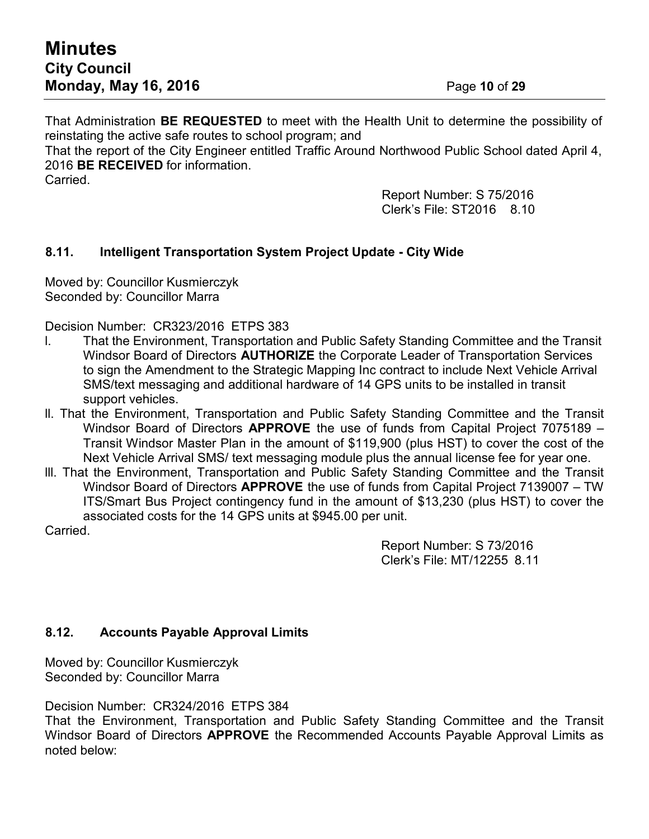That Administration **BE REQUESTED** to meet with the Health Unit to determine the possibility of reinstating the active safe routes to school program; and

That the report of the City Engineer entitled Traffic Around Northwood Public School dated April 4, 2016 **BE RECEIVED** for information.

Carried.

Report Number: S 75/2016 Clerk's File: ST2016 8.10

# **8.11. Intelligent Transportation System Project Update - City Wide**

Moved by: Councillor Kusmierczyk Seconded by: Councillor Marra

Decision Number: CR323/2016 ETPS 383

- l. That the Environment, Transportation and Public Safety Standing Committee and the Transit Windsor Board of Directors **AUTHORIZE** the Corporate Leader of Transportation Services to sign the Amendment to the Strategic Mapping Inc contract to include Next Vehicle Arrival SMS/text messaging and additional hardware of 14 GPS units to be installed in transit support vehicles.
- ll. That the Environment, Transportation and Public Safety Standing Committee and the Transit Windsor Board of Directors **APPROVE** the use of funds from Capital Project 7075189 – Transit Windsor Master Plan in the amount of \$119,900 (plus HST) to cover the cost of the Next Vehicle Arrival SMS/ text messaging module plus the annual license fee for year one.
- lll. That the Environment, Transportation and Public Safety Standing Committee and the Transit Windsor Board of Directors **APPROVE** the use of funds from Capital Project 7139007 – TW ITS/Smart Bus Project contingency fund in the amount of \$13,230 (plus HST) to cover the associated costs for the 14 GPS units at \$945.00 per unit.

Carried.

Report Number: S 73/2016 Clerk's File: MT/12255 8.11

# **8.12. Accounts Payable Approval Limits**

Moved by: Councillor Kusmierczyk Seconded by: Councillor Marra

Decision Number: CR324/2016 ETPS 384

That the Environment, Transportation and Public Safety Standing Committee and the Transit Windsor Board of Directors **APPROVE** the Recommended Accounts Payable Approval Limits as noted below: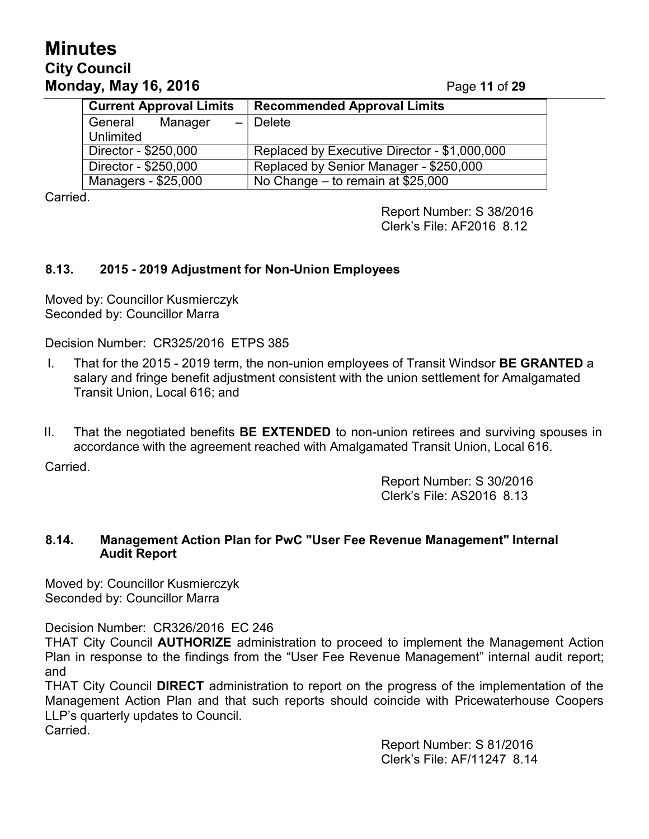# **Minutes City Council Monday, May 16, 2016** Page **11** of **29**

| <b>Current Approval Limits</b>                 | <b>Recommended Approval Limits</b>           |  |
|------------------------------------------------|----------------------------------------------|--|
| General<br>Manager<br>$\overline{\phantom{0}}$ | Delete                                       |  |
| Unlimited                                      |                                              |  |
| Director - \$250,000                           | Replaced by Executive Director - \$1,000,000 |  |
| Director - \$250,000                           | Replaced by Senior Manager - \$250,000       |  |
| Managers - \$25,000                            | No Change – to remain at $$25,000$           |  |

Carried.

Report Number: S 38/2016 Clerk's File: AF2016 8.12

# **8.13. 2015 - 2019 Adjustment for Non-Union Employees**

Moved by: Councillor Kusmierczyk Seconded by: Councillor Marra

Decision Number: CR325/2016 ETPS 385

- I. That for the 2015 2019 term, the non-union employees of Transit Windsor **BE GRANTED** a salary and fringe benefit adjustment consistent with the union settlement for Amalgamated Transit Union, Local 616; and
- II. That the negotiated benefits **BE EXTENDED** to non-union retirees and surviving spouses in accordance with the agreement reached with Amalgamated Transit Union, Local 616.

Carried.

Report Number: S 30/2016 Clerk's File: AS2016 8.13

## **8.14. Management Action Plan for PwC "User Fee Revenue Management" Internal Audit Report**

Moved by: Councillor Kusmierczyk Seconded by: Councillor Marra

Decision Number: CR326/2016 EC 246

THAT City Council **AUTHORIZE** administration to proceed to implement the Management Action Plan in response to the findings from the "User Fee Revenue Management" internal audit report; and

THAT City Council **DIRECT** administration to report on the progress of the implementation of the Management Action Plan and that such reports should coincide with Pricewaterhouse Coopers LLP's quarterly updates to Council. **Carried** 

> Report Number: S 81/2016 Clerk's File: AF/11247 8.14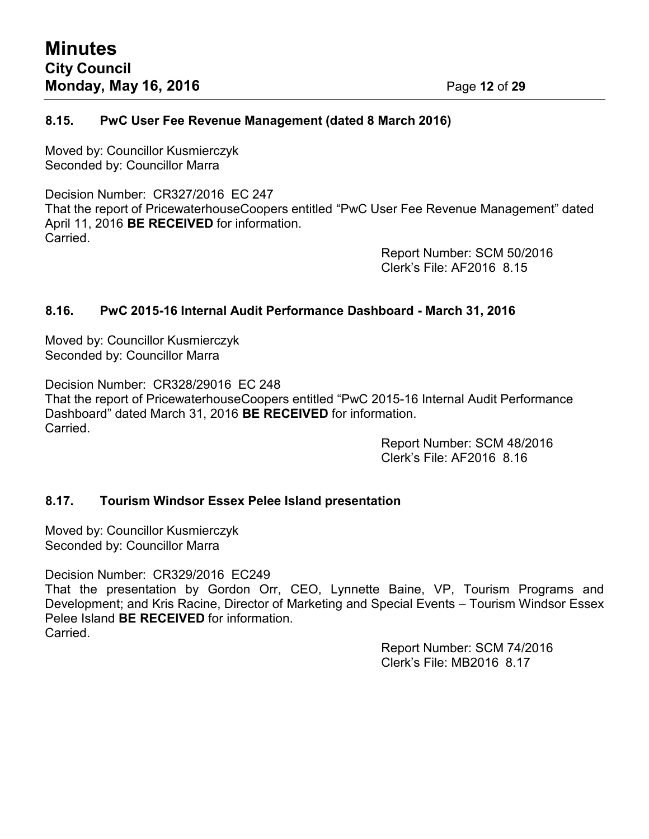## **8.15. PwC User Fee Revenue Management (dated 8 March 2016)**

Moved by: Councillor Kusmierczyk Seconded by: Councillor Marra

Decision Number: CR327/2016 EC 247 That the report of PricewaterhouseCoopers entitled "PwC User Fee Revenue Management" dated April 11, 2016 **BE RECEIVED** for information. Carried.

Report Number: SCM 50/2016 Clerk's File: AF2016 8.15

## **8.16. PwC 2015-16 Internal Audit Performance Dashboard - March 31, 2016**

Moved by: Councillor Kusmierczyk Seconded by: Councillor Marra

Decision Number: CR328/29016 EC 248 That the report of PricewaterhouseCoopers entitled "PwC 2015-16 Internal Audit Performance Dashboard" dated March 31, 2016 **BE RECEIVED** for information. Carried.

Report Number: SCM 48/2016 Clerk's File: AF2016 8.16

## **8.17. Tourism Windsor Essex Pelee Island presentation**

Moved by: Councillor Kusmierczyk Seconded by: Councillor Marra

Decision Number: CR329/2016 EC249

That the presentation by Gordon Orr, CEO, Lynnette Baine, VP, Tourism Programs and Development; and Kris Racine, Director of Marketing and Special Events – Tourism Windsor Essex Pelee Island **BE RECEIVED** for information. Carried.

> Report Number: SCM 74/2016 Clerk's File: MB2016 8.17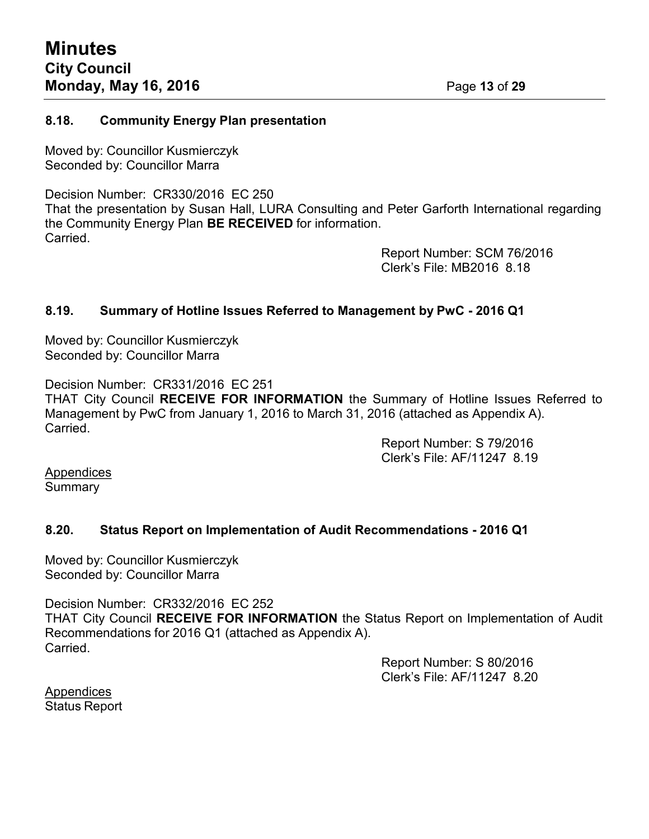#### **8.18. Community Energy Plan presentation**

Moved by: Councillor Kusmierczyk Seconded by: Councillor Marra

Decision Number: CR330/2016 EC 250 That the presentation by Susan Hall, LURA Consulting and Peter Garforth International regarding the Community Energy Plan **BE RECEIVED** for information. **Carried** 

> Report Number: SCM 76/2016 Clerk's File: MB2016 8.18

## **8.19. Summary of Hotline Issues Referred to Management by PwC - 2016 Q1**

Moved by: Councillor Kusmierczyk Seconded by: Councillor Marra

Decision Number: CR331/2016 EC 251 THAT City Council **RECEIVE FOR INFORMATION** the Summary of Hotline Issues Referred to Management by PwC from January 1, 2016 to March 31, 2016 (attached as Appendix A). Carried.

Report Number: S 79/2016 Clerk's File: AF/11247 8.19

Appendices **Summary** 

## **8.20. Status Report on Implementation of Audit Recommendations - 2016 Q1**

Moved by: Councillor Kusmierczyk Seconded by: Councillor Marra

Decision Number: CR332/2016 EC 252 THAT City Council **RECEIVE FOR INFORMATION** the Status Report on Implementation of Audit Recommendations for 2016 Q1 (attached as Appendix A). Carried.

> Report Number: S 80/2016 Clerk's File: AF/11247 8.20

**Appendices** Status Report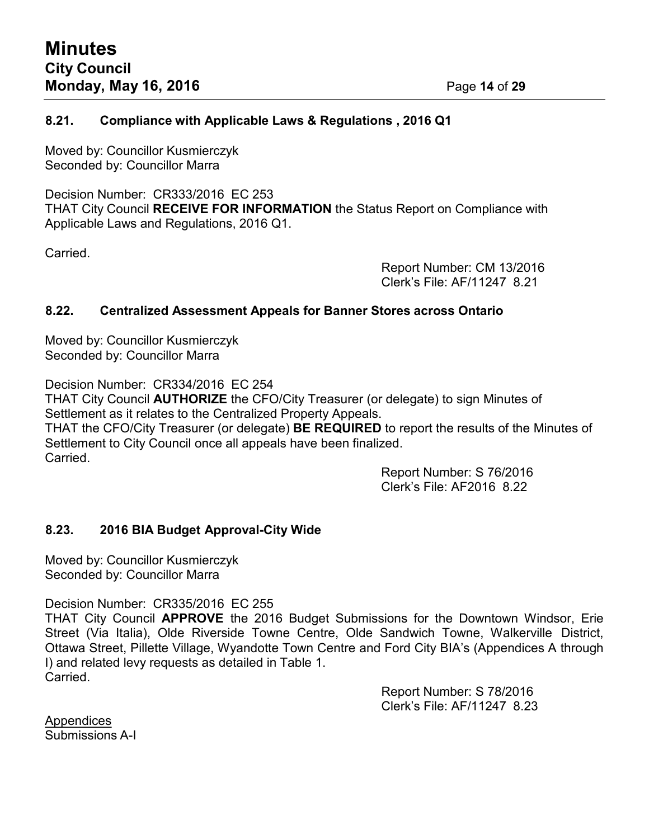#### **8.21. Compliance with Applicable Laws & Regulations , 2016 Q1**

Moved by: Councillor Kusmierczyk Seconded by: Councillor Marra

Decision Number: CR333/2016 EC 253 THAT City Council **RECEIVE FOR INFORMATION** the Status Report on Compliance with Applicable Laws and Regulations, 2016 Q1.

Carried.

Report Number: CM 13/2016 Clerk's File: AF/11247 8.21

#### **8.22. Centralized Assessment Appeals for Banner Stores across Ontario**

Moved by: Councillor Kusmierczyk Seconded by: Councillor Marra

Decision Number: CR334/2016 EC 254 THAT City Council **AUTHORIZE** the CFO/City Treasurer (or delegate) to sign Minutes of Settlement as it relates to the Centralized Property Appeals. THAT the CFO/City Treasurer (or delegate) **BE REQUIRED** to report the results of the Minutes of Settlement to City Council once all appeals have been finalized. Carried.

Report Number: S 76/2016 Clerk's File: AF2016 8.22

## **8.23. 2016 BIA Budget Approval-City Wide**

Moved by: Councillor Kusmierczyk Seconded by: Councillor Marra

Decision Number: CR335/2016 EC 255

THAT City Council **APPROVE** the 2016 Budget Submissions for the Downtown Windsor, Erie Street (Via Italia), Olde Riverside Towne Centre, Olde Sandwich Towne, Walkerville District, Ottawa Street, Pillette Village, Wyandotte Town Centre and Ford City BIA's (Appendices A through I) and related levy requests as detailed in Table 1. Carried.

> Report Number: S 78/2016 Clerk's File: AF/11247 8.23

**Appendices** Submissions A-I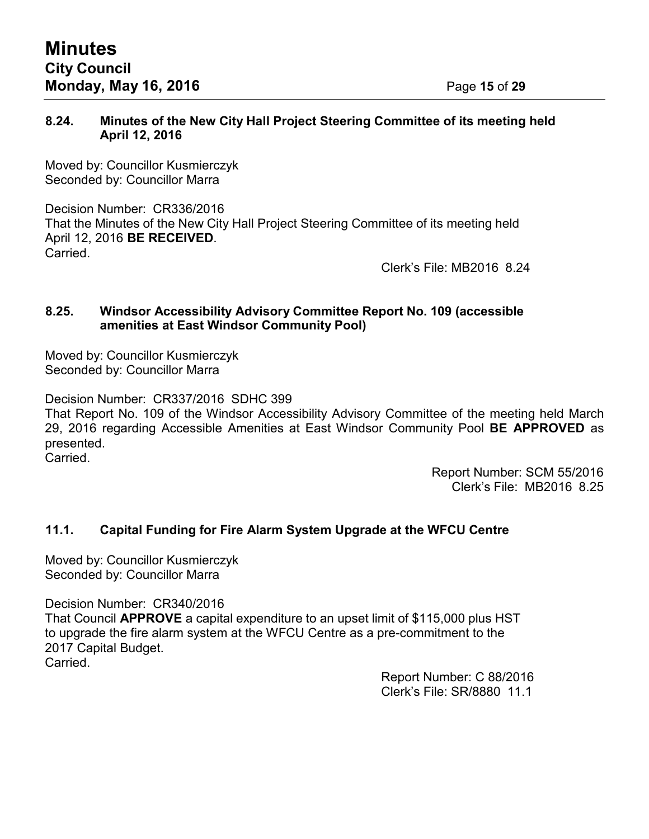## **8.24. Minutes of the New City Hall Project Steering Committee of its meeting held April 12, 2016**

Moved by: Councillor Kusmierczyk Seconded by: Councillor Marra

Decision Number: CR336/2016 That the Minutes of the New City Hall Project Steering Committee of its meeting held April 12, 2016 **BE RECEIVED**. Carried.

Clerk's File: MB2016 8.24

#### **8.25. Windsor Accessibility Advisory Committee Report No. 109 (accessible amenities at East Windsor Community Pool)**

Moved by: Councillor Kusmierczyk Seconded by: Councillor Marra

Decision Number: CR337/2016 SDHC 399

That Report No. 109 of the Windsor Accessibility Advisory Committee of the meeting held March 29, 2016 regarding Accessible Amenities at East Windsor Community Pool **BE APPROVED** as presented. Carried.

> Report Number: SCM 55/2016 Clerk's File: MB2016 8.25

# **11.1. Capital Funding for Fire Alarm System Upgrade at the WFCU Centre**

Moved by: Councillor Kusmierczyk Seconded by: Councillor Marra

Decision Number: CR340/2016 That Council **APPROVE** a capital expenditure to an upset limit of \$115,000 plus HST to upgrade the fire alarm system at the WFCU Centre as a pre-commitment to the 2017 Capital Budget. Carried.

> Report Number: C 88/2016 Clerk's File: SR/8880 11.1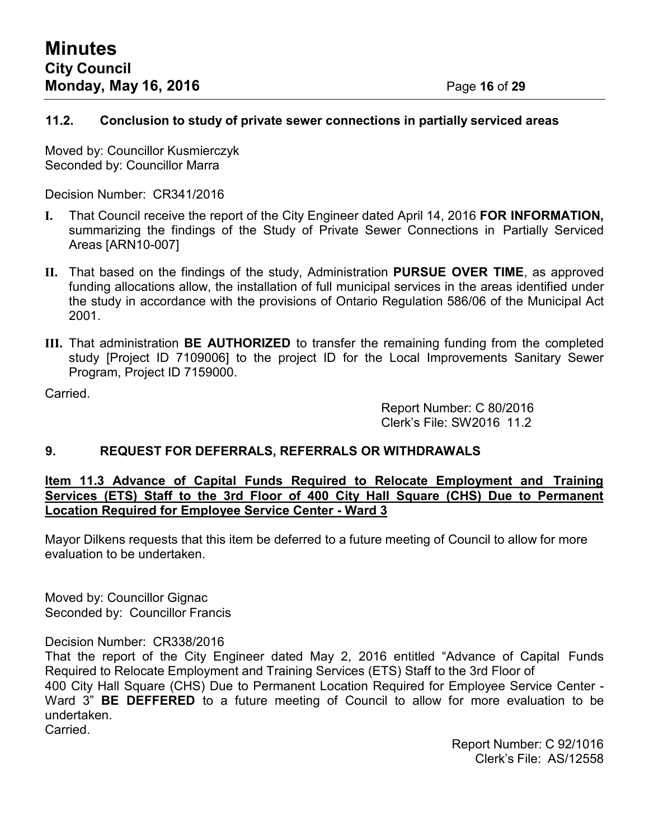## **11.2. Conclusion to study of private sewer connections in partially serviced areas**

Moved by: Councillor Kusmierczyk Seconded by: Councillor Marra

Decision Number: CR341/2016

- **I.** That Council receive the report of the City Engineer dated April 14, 2016 **FOR INFORMATION,** summarizing the findings of the Study of Private Sewer Connections in Partially Serviced Areas [ARN10-007]
- **II.** That based on the findings of the study, Administration **PURSUE OVER TIME**, as approved funding allocations allow, the installation of full municipal services in the areas identified under the study in accordance with the provisions of Ontario Regulation 586/06 of the Municipal Act 2001.
- **III.** That administration **BE AUTHORIZED** to transfer the remaining funding from the completed study [Project ID 7109006] to the project ID for the Local Improvements Sanitary Sewer Program, Project ID 7159000.

Carried.

Report Number: C 80/2016 Clerk's File: SW2016 11.2

# **9. REQUEST FOR DEFERRALS, REFERRALS OR WITHDRAWALS**

**Item 11.3 Advance of Capital Funds Required to Relocate Employment and Training Services (ETS) Staff to the 3rd Floor of 400 City Hall Square (CHS) Due to Permanent Location Required for Employee Service Center - Ward 3**

Mayor Dilkens requests that this item be deferred to a future meeting of Council to allow for more evaluation to be undertaken.

Moved by: Councillor Gignac Seconded by: Councillor Francis

Decision Number: CR338/2016

That the report of the City Engineer dated May 2, 2016 entitled "Advance of Capital Funds Required to Relocate Employment and Training Services (ETS) Staff to the 3rd Floor of 400 City Hall Square (CHS) Due to Permanent Location Required for Employee Service Center - Ward 3" **BE DEFFERED** to a future meeting of Council to allow for more evaluation to be undertaken.

Carried.

Report Number: C 92/1016 Clerk's File: AS/12558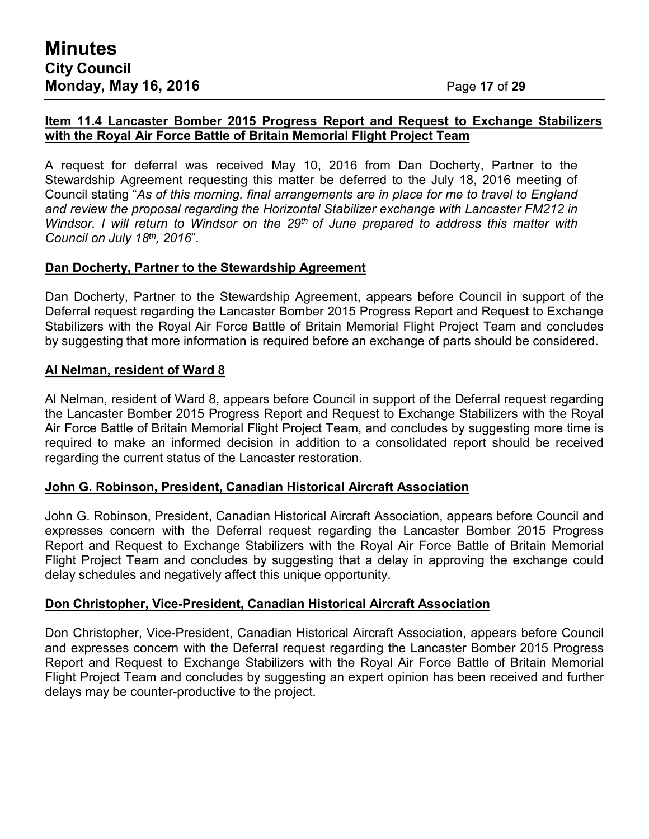## **Item 11.4 Lancaster Bomber 2015 Progress Report and Request to Exchange Stabilizers with the Royal Air Force Battle of Britain Memorial Flight Project Team**

A request for deferral was received May 10, 2016 from Dan Docherty, Partner to the Stewardship Agreement requesting this matter be deferred to the July 18, 2016 meeting of Council stating "*As of this morning, final arrangements are in place for me to travel to England and review the proposal regarding the Horizontal Stabilizer exchange with Lancaster FM212 in Windsor. I will return to Windsor on the 29th of June prepared to address this matter with Council on July 18th , 2016*".

## **Dan Docherty, Partner to the Stewardship Agreement**

Dan Docherty, Partner to the Stewardship Agreement, appears before Council in support of the Deferral request regarding the Lancaster Bomber 2015 Progress Report and Request to Exchange Stabilizers with the Royal Air Force Battle of Britain Memorial Flight Project Team and concludes by suggesting that more information is required before an exchange of parts should be considered.

#### **Al Nelman, resident of Ward 8**

Al Nelman, resident of Ward 8, appears before Council in support of the Deferral request regarding the Lancaster Bomber 2015 Progress Report and Request to Exchange Stabilizers with the Royal Air Force Battle of Britain Memorial Flight Project Team, and concludes by suggesting more time is required to make an informed decision in addition to a consolidated report should be received regarding the current status of the Lancaster restoration.

#### **John G. Robinson, President, Canadian Historical Aircraft Association**

John G. Robinson, President, Canadian Historical Aircraft Association, appears before Council and expresses concern with the Deferral request regarding the Lancaster Bomber 2015 Progress Report and Request to Exchange Stabilizers with the Royal Air Force Battle of Britain Memorial Flight Project Team and concludes by suggesting that a delay in approving the exchange could delay schedules and negatively affect this unique opportunity.

#### **Don Christopher, Vice-President, Canadian Historical Aircraft Association**

Don Christopher, Vice-President, Canadian Historical Aircraft Association, appears before Council and expresses concern with the Deferral request regarding the Lancaster Bomber 2015 Progress Report and Request to Exchange Stabilizers with the Royal Air Force Battle of Britain Memorial Flight Project Team and concludes by suggesting an expert opinion has been received and further delays may be counter-productive to the project.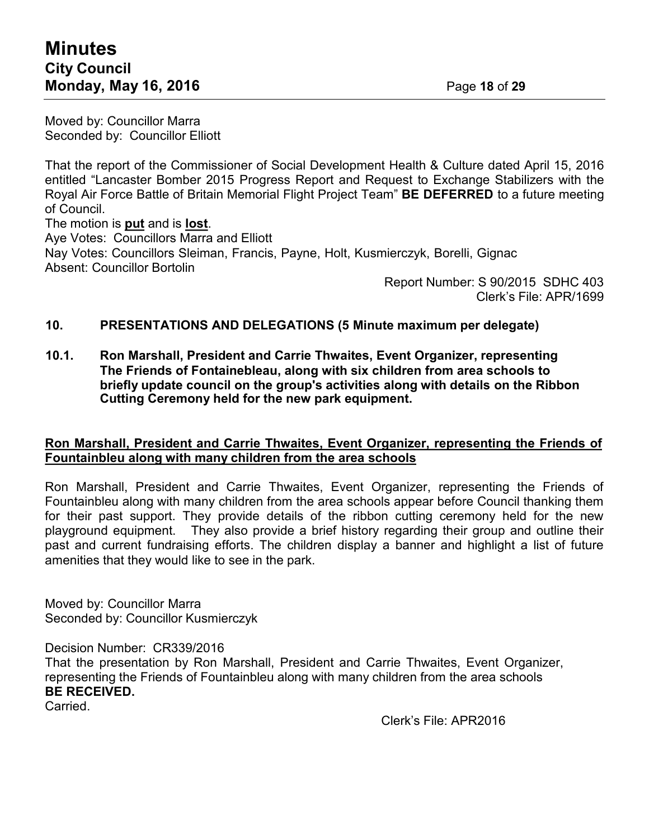Moved by: Councillor Marra Seconded by: Councillor Elliott

That the report of the Commissioner of Social Development Health & Culture dated April 15, 2016 entitled "Lancaster Bomber 2015 Progress Report and Request to Exchange Stabilizers with the Royal Air Force Battle of Britain Memorial Flight Project Team" **BE DEFERRED** to a future meeting of Council.

The motion is **put** and is **lost**. Aye Votes: Councillors Marra and Elliott Nay Votes: Councillors Sleiman, Francis, Payne, Holt, Kusmierczyk, Borelli, Gignac Absent: Councillor Bortolin

Report Number: S 90/2015 SDHC 403 Clerk's File: APR/1699

## **10. PRESENTATIONS AND DELEGATIONS (5 Minute maximum per delegate)**

**10.1. Ron Marshall, President and Carrie Thwaites, Event Organizer, representing The Friends of Fontainebleau, along with six children from area schools to briefly update council on the group's activities along with details on the Ribbon Cutting Ceremony held for the new park equipment.**

#### **Ron Marshall, President and Carrie Thwaites, Event Organizer, representing the Friends of Fountainbleu along with many children from the area schools**

Ron Marshall, President and Carrie Thwaites, Event Organizer, representing the Friends of Fountainbleu along with many children from the area schools appear before Council thanking them for their past support. They provide details of the ribbon cutting ceremony held for the new playground equipment. They also provide a brief history regarding their group and outline their past and current fundraising efforts. The children display a banner and highlight a list of future amenities that they would like to see in the park.

Moved by: Councillor Marra Seconded by: Councillor Kusmierczyk

Decision Number: CR339/2016

That the presentation by Ron Marshall, President and Carrie Thwaites, Event Organizer, representing the Friends of Fountainbleu along with many children from the area schools **BE RECEIVED.**

Carried.

Clerk's File: APR2016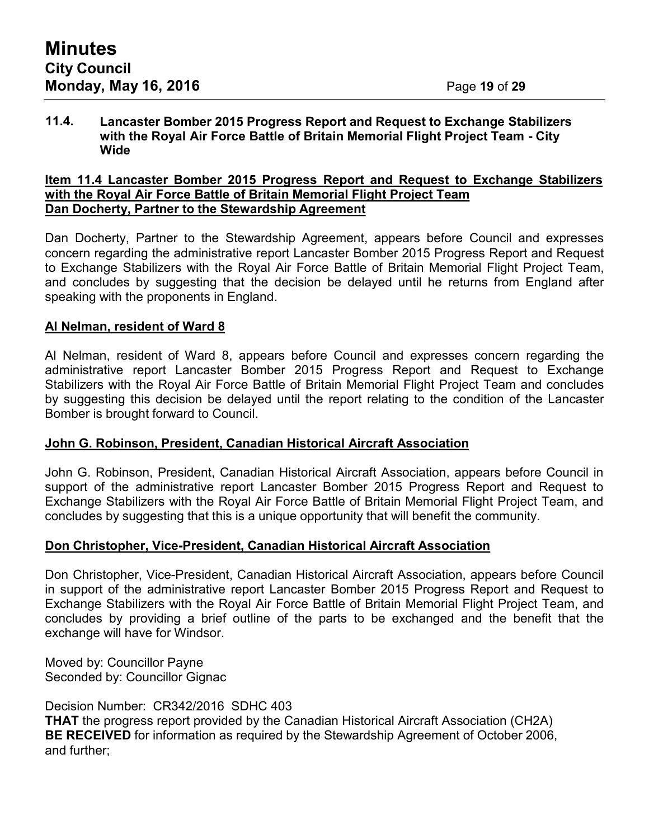#### **11.4. Lancaster Bomber 2015 Progress Report and Request to Exchange Stabilizers with the Royal Air Force Battle of Britain Memorial Flight Project Team - City Wide**

#### **Item 11.4 Lancaster Bomber 2015 Progress Report and Request to Exchange Stabilizers with the Royal Air Force Battle of Britain Memorial Flight Project Team Dan Docherty, Partner to the Stewardship Agreement**

Dan Docherty, Partner to the Stewardship Agreement, appears before Council and expresses concern regarding the administrative report Lancaster Bomber 2015 Progress Report and Request to Exchange Stabilizers with the Royal Air Force Battle of Britain Memorial Flight Project Team, and concludes by suggesting that the decision be delayed until he returns from England after speaking with the proponents in England.

## **Al Nelman, resident of Ward 8**

Al Nelman, resident of Ward 8, appears before Council and expresses concern regarding the administrative report Lancaster Bomber 2015 Progress Report and Request to Exchange Stabilizers with the Royal Air Force Battle of Britain Memorial Flight Project Team and concludes by suggesting this decision be delayed until the report relating to the condition of the Lancaster Bomber is brought forward to Council.

## **John G. Robinson, President, Canadian Historical Aircraft Association**

John G. Robinson, President, Canadian Historical Aircraft Association, appears before Council in support of the administrative report Lancaster Bomber 2015 Progress Report and Request to Exchange Stabilizers with the Royal Air Force Battle of Britain Memorial Flight Project Team, and concludes by suggesting that this is a unique opportunity that will benefit the community.

## **Don Christopher, Vice-President, Canadian Historical Aircraft Association**

Don Christopher, Vice-President, Canadian Historical Aircraft Association, appears before Council in support of the administrative report Lancaster Bomber 2015 Progress Report and Request to Exchange Stabilizers with the Royal Air Force Battle of Britain Memorial Flight Project Team, and concludes by providing a brief outline of the parts to be exchanged and the benefit that the exchange will have for Windsor.

Moved by: Councillor Payne Seconded by: Councillor Gignac

Decision Number: CR342/2016 SDHC 403 **THAT** the progress report provided by the Canadian Historical Aircraft Association (CH2A) **BE RECEIVED** for information as required by the Stewardship Agreement of October 2006, and further;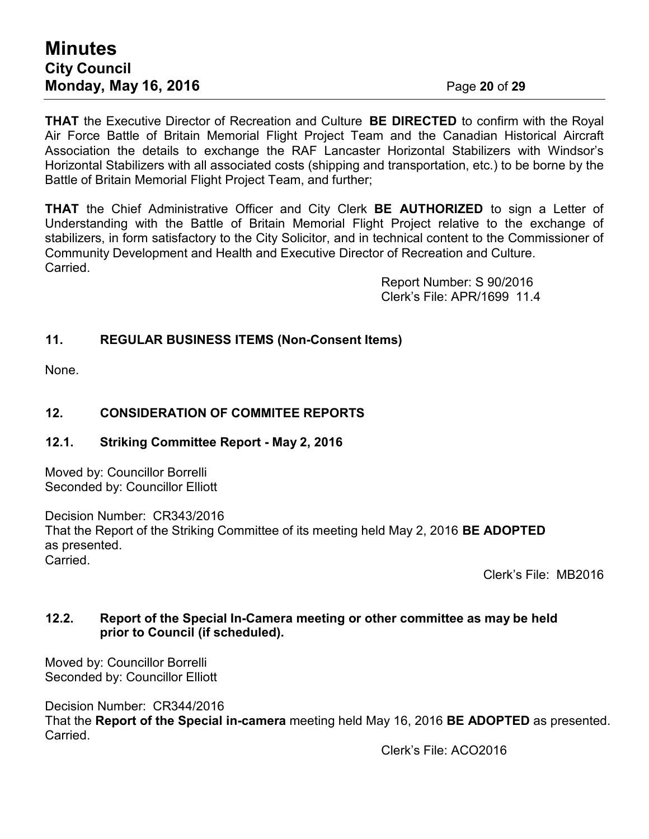# **Minutes City Council Monday, May 16, 2016** Page **20** of **29**

**THAT** the Executive Director of Recreation and Culture **BE DIRECTED** to confirm with the Royal Air Force Battle of Britain Memorial Flight Project Team and the Canadian Historical Aircraft Association the details to exchange the RAF Lancaster Horizontal Stabilizers with Windsor's Horizontal Stabilizers with all associated costs (shipping and transportation, etc.) to be borne by the Battle of Britain Memorial Flight Project Team, and further;

**THAT** the Chief Administrative Officer and City Clerk **BE AUTHORIZED** to sign a Letter of Understanding with the Battle of Britain Memorial Flight Project relative to the exchange of stabilizers, in form satisfactory to the City Solicitor, and in technical content to the Commissioner of Community Development and Health and Executive Director of Recreation and Culture. Carried.

> Report Number: S 90/2016 Clerk's File: APR/1699 11.4

# **11. REGULAR BUSINESS ITEMS (Non-Consent Items)**

None.

## **12. CONSIDERATION OF COMMITEE REPORTS**

## **12.1. Striking Committee Report - May 2, 2016**

Moved by: Councillor Borrelli Seconded by: Councillor Elliott

Decision Number: CR343/2016 That the Report of the Striking Committee of its meeting held May 2, 2016 **BE ADOPTED** as presented. **Carried** 

Clerk's File: MB2016

## **12.2. Report of the Special In-Camera meeting or other committee as may be held prior to Council (if scheduled).**

Moved by: Councillor Borrelli Seconded by: Councillor Elliott

Decision Number: CR344/2016 That the **Report of the Special in-camera** meeting held May 16, 2016 **BE ADOPTED** as presented. Carried.

Clerk's File: ACO2016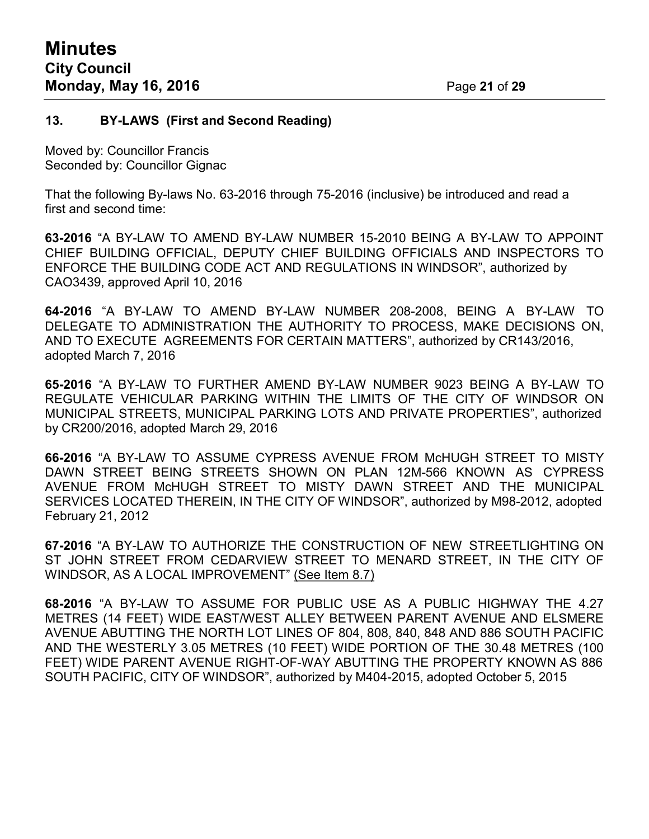#### **13. BY-LAWS (First and Second Reading)**

Moved by: Councillor Francis Seconded by: Councillor Gignac

That the following By-laws No. 63-2016 through 75-2016 (inclusive) be introduced and read a first and second time:

**63-2016** "A BY-LAW TO AMEND BY-LAW NUMBER 15-2010 BEING A BY-LAW TO APPOINT CHIEF BUILDING OFFICIAL, DEPUTY CHIEF BUILDING OFFICIALS AND INSPECTORS TO ENFORCE THE BUILDING CODE ACT AND REGULATIONS IN WINDSOR", authorized by CAO3439, approved April 10, 2016

**64-2016** "A BY-LAW TO AMEND BY-LAW NUMBER 208-2008, BEING A BY-LAW TO DELEGATE TO ADMINISTRATION THE AUTHORITY TO PROCESS, MAKE DECISIONS ON, AND TO EXECUTE AGREEMENTS FOR CERTAIN MATTERS", authorized by CR143/2016, adopted March 7, 2016

**65-2016** "A BY-LAW TO FURTHER AMEND BY-LAW NUMBER 9023 BEING A BY-LAW TO REGULATE VEHICULAR PARKING WITHIN THE LIMITS OF THE CITY OF WINDSOR ON MUNICIPAL STREETS, MUNICIPAL PARKING LOTS AND PRIVATE PROPERTIES", authorized by CR200/2016, adopted March 29, 2016

**66-2016** "A BY-LAW TO ASSUME CYPRESS AVENUE FROM McHUGH STREET TO MISTY DAWN STREET BEING STREETS SHOWN ON PLAN 12M-566 KNOWN AS CYPRESS AVENUE FROM McHUGH STREET TO MISTY DAWN STREET AND THE MUNICIPAL SERVICES LOCATED THEREIN, IN THE CITY OF WINDSOR", authorized by M98-2012, adopted February 21, 2012

**67-2016** "A BY-LAW TO AUTHORIZE THE CONSTRUCTION OF NEW STREETLIGHTING ON ST JOHN STREET FROM CEDARVIEW STREET TO MENARD STREET, IN THE CITY OF WINDSOR, AS A LOCAL IMPROVEMENT" (See Item 8.7)

**68-2016** "A BY-LAW TO ASSUME FOR PUBLIC USE AS A PUBLIC HIGHWAY THE 4.27 METRES (14 FEET) WIDE EAST/WEST ALLEY BETWEEN PARENT AVENUE AND ELSMERE AVENUE ABUTTING THE NORTH LOT LINES OF 804, 808, 840, 848 AND 886 SOUTH PACIFIC AND THE WESTERLY 3.05 METRES (10 FEET) WIDE PORTION OF THE 30.48 METRES (100 FEET) WIDE PARENT AVENUE RIGHT-OF-WAY ABUTTING THE PROPERTY KNOWN AS 886 SOUTH PACIFIC, CITY OF WINDSOR", authorized by M404-2015, adopted October 5, 2015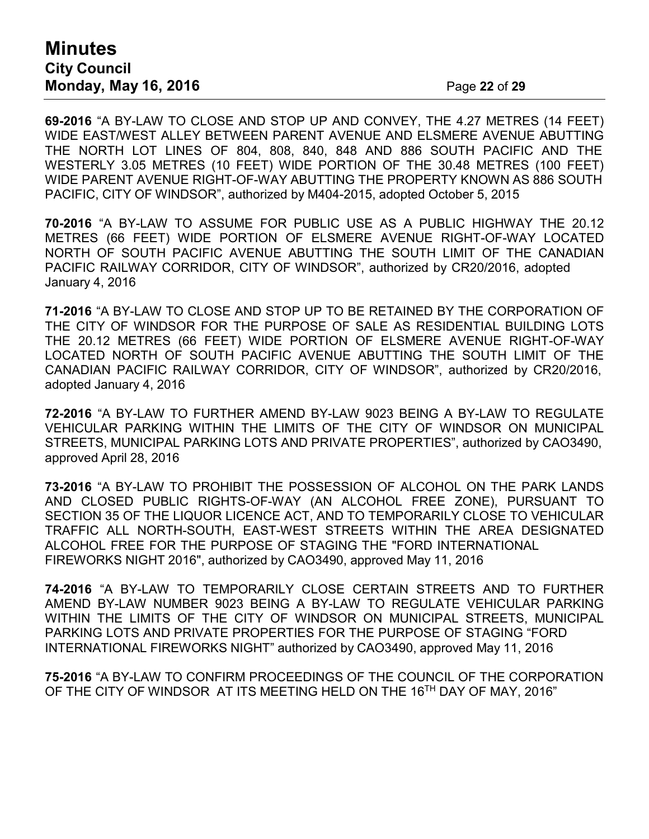# **Minutes City Council Monday, May 16, 2016** Page **22** of **29**

**69-2016** "A BY-LAW TO CLOSE AND STOP UP AND CONVEY, THE 4.27 METRES (14 FEET) WIDE EAST/WEST ALLEY BETWEEN PARENT AVENUE AND ELSMERE AVENUE ABUTTING THE NORTH LOT LINES OF 804, 808, 840, 848 AND 886 SOUTH PACIFIC AND THE WESTERLY 3.05 METRES (10 FEET) WIDE PORTION OF THE 30.48 METRES (100 FEET) WIDE PARENT AVENUE RIGHT-OF-WAY ABUTTING THE PROPERTY KNOWN AS 886 SOUTH PACIFIC, CITY OF WINDSOR", authorized by M404-2015, adopted October 5, 2015

**70-2016** "A BY-LAW TO ASSUME FOR PUBLIC USE AS A PUBLIC HIGHWAY THE 20.12 METRES (66 FEET) WIDE PORTION OF ELSMERE AVENUE RIGHT-OF-WAY LOCATED NORTH OF SOUTH PACIFIC AVENUE ABUTTING THE SOUTH LIMIT OF THE CANADIAN PACIFIC RAILWAY CORRIDOR, CITY OF WINDSOR", authorized by CR20/2016, adopted January 4, 2016

**71-2016** "A BY-LAW TO CLOSE AND STOP UP TO BE RETAINED BY THE CORPORATION OF THE CITY OF WINDSOR FOR THE PURPOSE OF SALE AS RESIDENTIAL BUILDING LOTS THE 20.12 METRES (66 FEET) WIDE PORTION OF ELSMERE AVENUE RIGHT-OF-WAY LOCATED NORTH OF SOUTH PACIFIC AVENUE ABUTTING THE SOUTH LIMIT OF THE CANADIAN PACIFIC RAILWAY CORRIDOR, CITY OF WINDSOR", authorized by CR20/2016, adopted January 4, 2016

**72-2016** "A BY-LAW TO FURTHER AMEND BY-LAW 9023 BEING A BY-LAW TO REGULATE VEHICULAR PARKING WITHIN THE LIMITS OF THE CITY OF WINDSOR ON MUNICIPAL STREETS, MUNICIPAL PARKING LOTS AND PRIVATE PROPERTIES", authorized by CAO3490, approved April 28, 2016

**73-2016** "A BY-LAW TO PROHIBIT THE POSSESSION OF ALCOHOL ON THE PARK LANDS AND CLOSED PUBLIC RIGHTS-OF-WAY (AN ALCOHOL FREE ZONE), PURSUANT TO SECTION 35 OF THE LIQUOR LICENCE ACT, AND TO TEMPORARILY CLOSE TO VEHICULAR TRAFFIC ALL NORTH-SOUTH, EAST-WEST STREETS WITHIN THE AREA DESIGNATED ALCOHOL FREE FOR THE PURPOSE OF STAGING THE "FORD INTERNATIONAL FIREWORKS NIGHT 2016", authorized by CAO3490, approved May 11, 2016

**74-2016** "A BY-LAW TO TEMPORARILY CLOSE CERTAIN STREETS AND TO FURTHER AMEND BY-LAW NUMBER 9023 BEING A BY-LAW TO REGULATE VEHICULAR PARKING WITHIN THE LIMITS OF THE CITY OF WINDSOR ON MUNICIPAL STREETS, MUNICIPAL PARKING LOTS AND PRIVATE PROPERTIES FOR THE PURPOSE OF STAGING "FORD INTERNATIONAL FIREWORKS NIGHT" authorized by CAO3490, approved May 11, 2016

**75-2016** "A BY-LAW TO CONFIRM PROCEEDINGS OF THE COUNCIL OF THE CORPORATION OF THE CITY OF WINDSOR AT ITS MEETING HELD ON THE 16<sup>TH</sup> DAY OF MAY, 2016"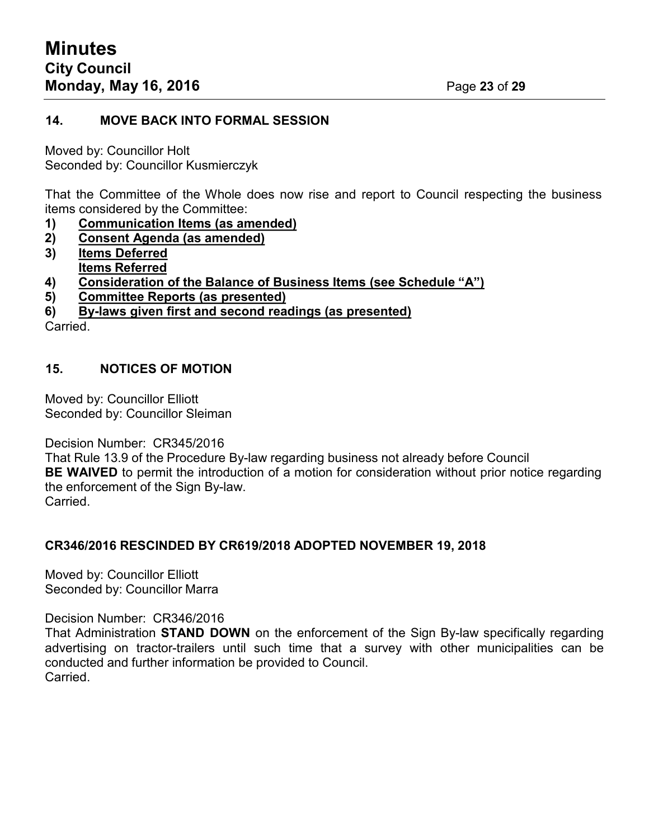#### **14. MOVE BACK INTO FORMAL SESSION**

Moved by: Councillor Holt Seconded by: Councillor Kusmierczyk

That the Committee of the Whole does now rise and report to Council respecting the business items considered by the Committee:

- **1) Communication Items (as amended)**
- **2) Consent Agenda (as amended)**
- **3) Items Deferred Items Referred**
- **4) Consideration of the Balance of Business Items (see Schedule "A")**
- **5) Committee Reports (as presented)**

**6) By-laws given first and second readings (as presented)**

Carried.

## **15. NOTICES OF MOTION**

Moved by: Councillor Elliott Seconded by: Councillor Sleiman

Decision Number: CR345/2016

That Rule 13.9 of the Procedure By-law regarding business not already before Council **BE WAIVED** to permit the introduction of a motion for consideration without prior notice regarding the enforcement of the Sign By-law. Carried.

## **CR346/2016 RESCINDED BY CR619/2018 ADOPTED NOVEMBER 19, 2018**

Moved by: Councillor Elliott Seconded by: Councillor Marra

Decision Number: CR346/2016

That Administration **STAND DOWN** on the enforcement of the Sign By-law specifically regarding advertising on tractor-trailers until such time that a survey with other municipalities can be conducted and further information be provided to Council. Carried.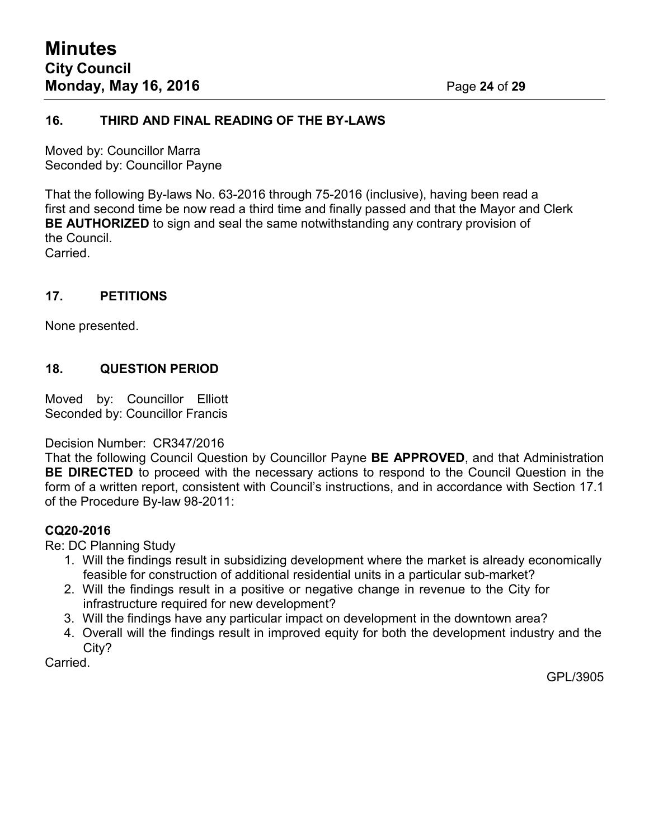#### **16. THIRD AND FINAL READING OF THE BY-LAWS**

Moved by: Councillor Marra Seconded by: Councillor Payne

That the following By-laws No. 63-2016 through 75-2016 (inclusive), having been read a first and second time be now read a third time and finally passed and that the Mayor and Clerk **BE AUTHORIZED** to sign and seal the same notwithstanding any contrary provision of the Council.

Carried.

## **17. PETITIONS**

None presented.

## **18. QUESTION PERIOD**

Moved by: Councillor Elliott Seconded by: Councillor Francis

Decision Number: CR347/2016

That the following Council Question by Councillor Payne **BE APPROVED**, and that Administration **BE DIRECTED** to proceed with the necessary actions to respond to the Council Question in the form of a written report, consistent with Council's instructions, and in accordance with Section 17.1 of the Procedure By-law 98-2011:

## **CQ20-2016**

Re: DC Planning Study

- 1. Will the findings result in subsidizing development where the market is already economically feasible for construction of additional residential units in a particular sub-market?
- 2. Will the findings result in a positive or negative change in revenue to the City for infrastructure required for new development?
- 3. Will the findings have any particular impact on development in the downtown area?
- 4. Overall will the findings result in improved equity for both the development industry and the City?

Carried.

GPL/3905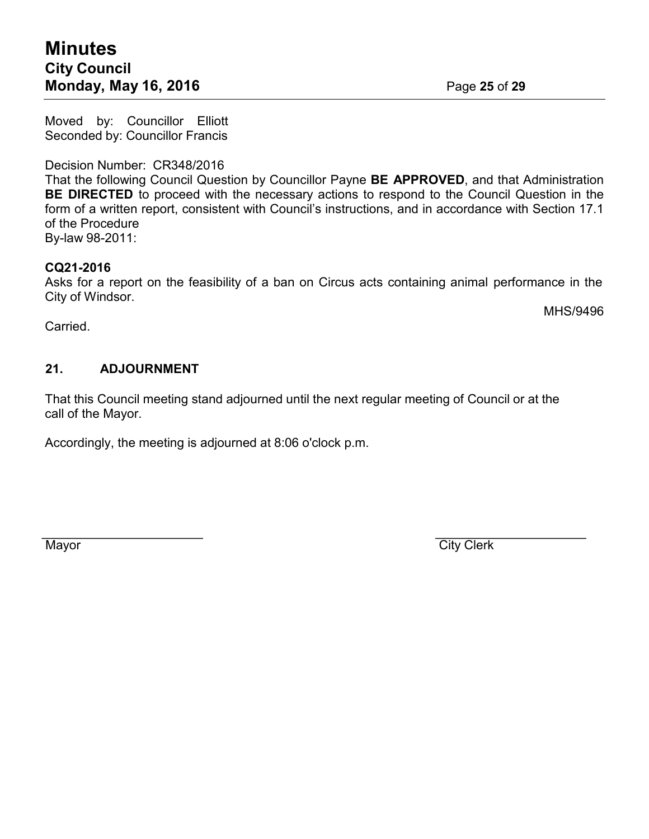Moved by: Councillor Elliott Seconded by: Councillor Francis

Decision Number: CR348/2016

That the following Council Question by Councillor Payne **BE APPROVED**, and that Administration **BE DIRECTED** to proceed with the necessary actions to respond to the Council Question in the form of a written report, consistent with Council's instructions, and in accordance with Section 17.1 of the Procedure By-law 98-2011:

**CQ21-2016**

Asks for a report on the feasibility of a ban on Circus acts containing animal performance in the City of Windsor.

Carried.

MHS/9496

# **21. ADJOURNMENT**

That this Council meeting stand adjourned until the next regular meeting of Council or at the call of the Mayor.

Accordingly, the meeting is adjourned at 8:06 o'clock p.m.

Mayor City Clerk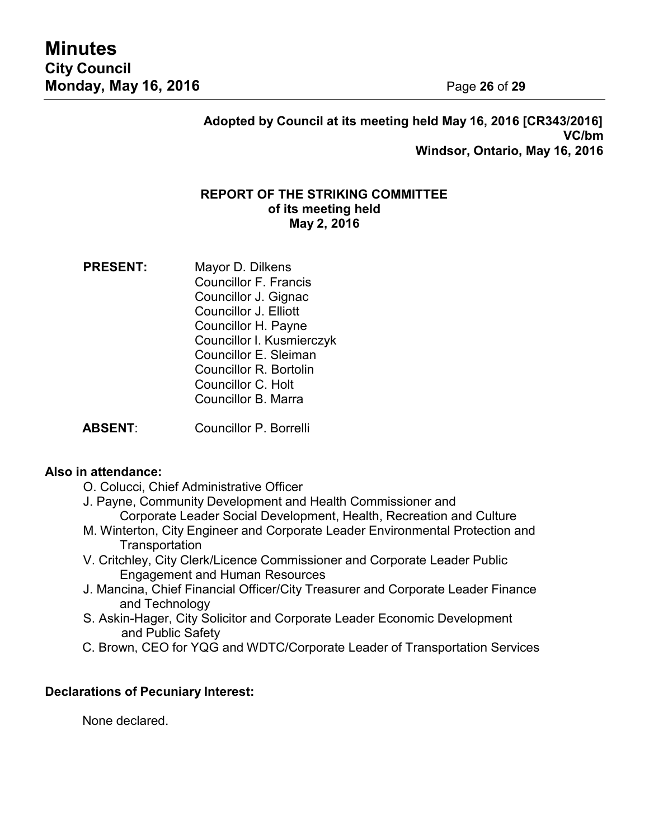**Adopted by Council at its meeting held May 16, 2016 [CR343/2016] VC/bm Windsor, Ontario, May 16, 2016**

#### **REPORT OF THE STRIKING COMMITTEE of its meeting held May 2, 2016**

**PRESENT:** Mayor D. Dilkens Councillor F. Francis Councillor J. Gignac Councillor J. Elliott Councillor H. Payne Councillor I. Kusmierczyk Councillor E. Sleiman Councillor R. Bortolin Councillor C. Holt Councillor B. Marra

**ABSENT**: Councillor P. Borrelli

## **Also in attendance:**

- O. Colucci, Chief Administrative Officer
- J. Payne, Community Development and Health Commissioner and Corporate Leader Social Development, Health, Recreation and Culture
- M. Winterton, City Engineer and Corporate Leader Environmental Protection and **Transportation**
- V. Critchley, City Clerk/Licence Commissioner and Corporate Leader Public Engagement and Human Resources
- J. Mancina, Chief Financial Officer/City Treasurer and Corporate Leader Finance and Technology
- S. Askin-Hager, City Solicitor and Corporate Leader Economic Development and Public Safety
- C. Brown, CEO for YQG and WDTC/Corporate Leader of Transportation Services

## **Declarations of Pecuniary Interest:**

None declared.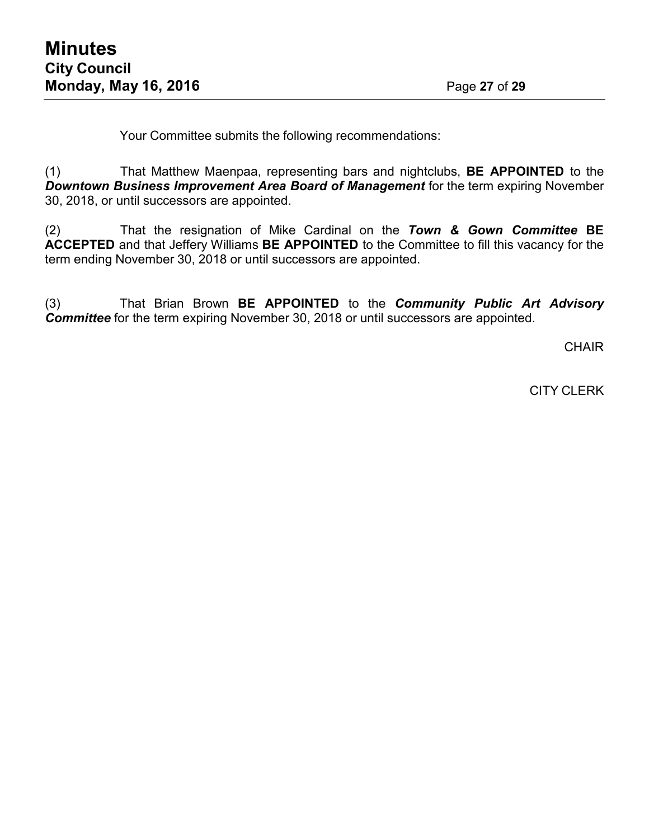Your Committee submits the following recommendations:

(1) That Matthew Maenpaa, representing bars and nightclubs, **BE APPOINTED** to the *Downtown Business Improvement Area Board of Management for the term expiring November* 30, 2018, or until successors are appointed.

(2) That the resignation of Mike Cardinal on the *Town & Gown Committee* **BE ACCEPTED** and that Jeffery Williams **BE APPOINTED** to the Committee to fill this vacancy for the term ending November 30, 2018 or until successors are appointed.

(3) That Brian Brown **BE APPOINTED** to the *Community Public Art Advisory Committee* for the term expiring November 30, 2018 or until successors are appointed.

**CHAIR** 

CITY CLERK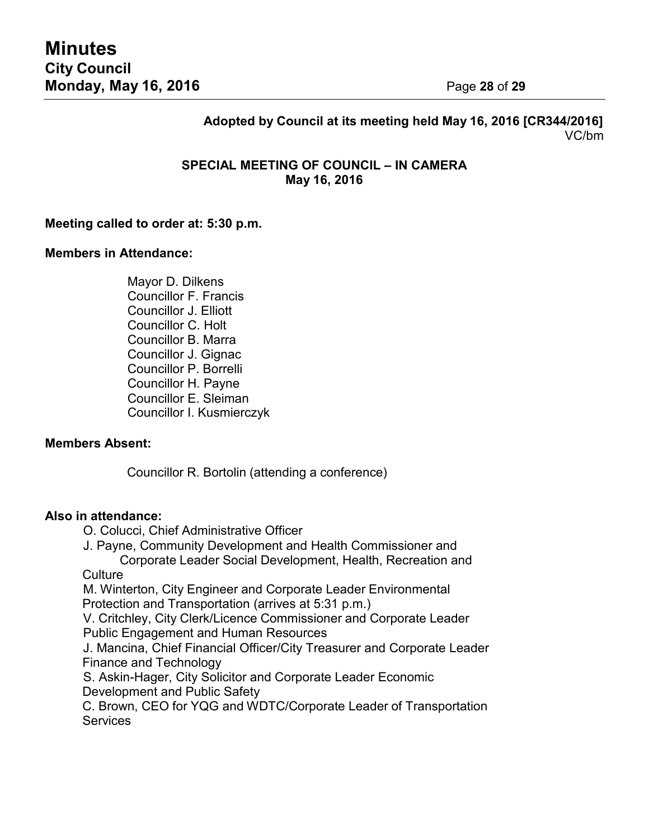# **Adopted by Council at its meeting held May 16, 2016 [CR344/2016]** VC/bm

## **SPECIAL MEETING OF COUNCIL – IN CAMERA May 16, 2016**

#### **Meeting called to order at: 5:30 p.m.**

#### **Members in Attendance:**

Mayor D. Dilkens Councillor F. Francis Councillor J. Elliott Councillor C. Holt Councillor B. Marra Councillor J. Gignac Councillor P. Borrelli Councillor H. Payne Councillor E. Sleiman Councillor I. Kusmierczyk

#### **Members Absent:**

Councillor R. Bortolin (attending a conference)

#### **Also in attendance:**

- O. Colucci, Chief Administrative Officer
- J. Payne, Community Development and Health Commissioner and Corporate Leader Social Development, Health, Recreation and

**Culture** 

M. Winterton, City Engineer and Corporate Leader Environmental Protection and Transportation (arrives at 5:31 p.m.)

V. Critchley, City Clerk/Licence Commissioner and Corporate Leader Public Engagement and Human Resources

J. Mancina, Chief Financial Officer/City Treasurer and Corporate Leader Finance and Technology

S. Askin-Hager, City Solicitor and Corporate Leader Economic Development and Public Safety

C. Brown, CEO for YQG and WDTC/Corporate Leader of Transportation **Services**